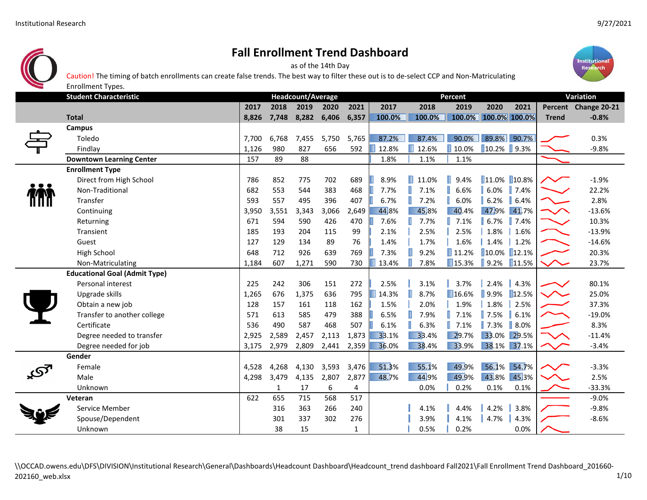

as of the 14th Day



Caution! The timing of batch enrollments can create false trends. The best way to filter these out is to de‐select CCP and Non‐Matriculating

| ═ | <b>Enrollment Types.</b>             |       |              |                          |       |              |        |            |                      |                                                                                     |                  |                  |                      |  |
|---|--------------------------------------|-------|--------------|--------------------------|-------|--------------|--------|------------|----------------------|-------------------------------------------------------------------------------------|------------------|------------------|----------------------|--|
|   | <b>Student Characteristic</b>        |       |              | <b>Headcount/Average</b> |       |              |        |            | Percent              |                                                                                     |                  | <b>Variation</b> |                      |  |
|   |                                      | 2017  | 2018         | 2019                     | 2020  | 2021         | 2017   | 2018       | 2019                 | 2020                                                                                | 2021             |                  | Percent Change 20-21 |  |
|   | <b>Total</b>                         | 8,826 | 7,748        | 8,282                    | 6,406 | 6,357        | 100.0% | 100.0%     |                      | 100.0% 100.0% 100.0%                                                                |                  | <b>Trend</b>     | $-0.8%$              |  |
|   | Campus                               |       |              |                          |       |              |        |            |                      |                                                                                     |                  |                  |                      |  |
|   | Toledo                               | 7,700 | 6,768        | 7,455                    | 5,750 | 5,765        | 87.2%  | 87.4%      | 90.0%                |                                                                                     | 89.8% 90.7%      |                  | 0.3%                 |  |
|   | Findlay                              | 1,126 | 980          | 827                      | 656   | 592          | 12.8%  | 12.6%      | 10.0%                | $\begin{array}{ c c c c c } \hline \text{10.2\%} & \text{9.3\%} \hline \end{array}$ |                  |                  | $-9.8%$              |  |
|   | <b>Downtown Learning Center</b>      | 157   | 89           | 88                       |       |              | 1.8%   | 1.1%       | 1.1%                 |                                                                                     |                  |                  |                      |  |
|   | <b>Enrollment Type</b>               |       |              |                          |       |              |        |            |                      |                                                                                     |                  |                  |                      |  |
|   | Direct from High School              | 786   | 852          | 775                      | 702   | 689          | 8.9%   | 11.0%<br>н | 9.4%<br>П            | 11.0% 10.8%                                                                         |                  | ╱╲╱              | $-1.9%$              |  |
|   | Non-Traditional                      | 682   | 553          | 544                      | 383   | 468          | 7.7%   | 7.1%       | 6.6%                 | 6.0%                                                                                | $\parallel$ 7.4% |                  | 22.2%                |  |
|   | Transfer                             | 593   | 557          | 495                      | 396   | 407          | 6.7%   | 7.2%       | 6.0%                 | 6.2%                                                                                | 6.4%             |                  | 2.8%                 |  |
|   | Continuing                           | 3,950 | 3,551        | 3,343                    | 3,066 | 2,649        | 44.8%  | 45.8%      | 40.4%                | 47.9%                                                                               | 41.7%            | $\sim$           | $-13.6%$             |  |
|   | Returning                            | 671   | 594          | 590                      | 426   | 470          | 7.6%   | 7.7%       | 7.1%                 | 6.7%                                                                                | 7.4%             |                  | 10.3%                |  |
|   | Transient                            | 185   | 193          | 204                      | 115   | 99           | 2.1%   | 2.5%       | 2.5%                 | 1.8%                                                                                | 1.6%             |                  | $-13.9%$             |  |
|   | Guest                                | 127   | 129          | 134                      | 89    | 76           | 1.4%   | 1.7%       | 1.6%                 | 1.4%                                                                                | 1.2%             |                  | $-14.6%$             |  |
|   | High School                          | 648   | 712          | 926                      | 639   | 769          | 7.3%   | 9.2%       | $\blacksquare$ 11.2% | 10.0% 12.1%                                                                         |                  |                  | 20.3%                |  |
|   | Non-Matriculating                    | 1,184 | 607          | 1,271                    | 590   | 730          | 13.4%  | 7.8%       | ■15.3%               | $\blacksquare$ 9.2%                                                                 | 11.5%            |                  | 23.7%                |  |
|   | <b>Educational Goal (Admit Type)</b> |       |              |                          |       |              |        |            |                      |                                                                                     |                  |                  |                      |  |
|   | Personal interest                    | 225   | 242          | 306                      | 151   | 272          | 2.5%   | 3.1%       | 3.7%                 | 2.4%                                                                                | 4.3%             |                  | 80.1%                |  |
|   | Upgrade skills                       | 1,265 | 676          | 1,375                    | 636   | 795          | 14.3%  | 8.7%       | 16.6%                | $\blacksquare$ 9.9%                                                                 | 12.5%            | $\sim$           | 25.0%                |  |
|   | Obtain a new job                     | 128   | 157          | 161                      | 118   | 162          | 1.5%   | 2.0%       | 1.9%                 | 1.8%                                                                                | 2.5%             |                  | 37.3%                |  |
|   | Transfer to another college          | 571   | 613          | 585                      | 479   | 388          | 6.5%   | 7.9%       | 7.1%                 | 7.5%                                                                                | 6.1%             |                  | $-19.0%$             |  |
|   | Certificate                          | 536   | 490          | 587                      | 468   | 507          | 6.1%   | 6.3%       | 7.1%                 | $\blacksquare$ 7.3%                                                                 | 8.0%             |                  | 8.3%                 |  |
|   | Degree needed to transfer            | 2,925 | 2,589        | 2,457                    | 2,113 | 1,873        | 33.1%  | 33.4%      | 29.7%                | 33.0%                                                                               | 29.5%            | $\backsim$       | $-11.4%$             |  |
|   | Degree needed for job                | 3,175 | 2,979        | 2,809                    | 2,441 | 2,359        | 36.0%  | 38.4%      | 33.9%                | 38.1% 37.1%                                                                         |                  |                  | $-3.4%$              |  |
|   | Gender                               |       |              |                          |       |              |        |            |                      |                                                                                     |                  |                  |                      |  |
|   | Female                               | 4,528 | 4,268        | 4,130                    | 3,593 | 3,476        | 51.3%  | 55.1%      | 49.9%                | 56.1%                                                                               | 54.7%            |                  | $-3.3%$              |  |
|   | Male                                 | 4,298 | 3,479        | 4,135                    | 2,807 | 2,877        | 48.7%  | 44.9%      | 49.9%                | 43.8%                                                                               | 45.3%            |                  | 2.5%                 |  |
|   | Unknown                              |       | $\mathbf{1}$ | 17                       | 6     | 4            |        | 0.0%       | 0.2%                 | 0.1%                                                                                | 0.1%             |                  | $-33.3%$             |  |
|   | Veteran                              | 622   | 655          | 715                      | 568   | 517          |        |            |                      |                                                                                     |                  |                  | $-9.0%$              |  |
|   | Service Member                       |       | 316          | 363                      | 266   | 240          |        | 4.1%       | 4.4%                 | 4.2%                                                                                | 3.8%             |                  | $-9.8%$              |  |
|   | Spouse/Dependent                     |       | 301          | 337                      | 302   | 276          |        | 3.9%       | 4.1%                 | 4.7%                                                                                | 4.3%             |                  | $-8.6%$              |  |
|   | Unknown                              |       | 38           | 15                       |       | $\mathbf{1}$ |        | 0.5%       | 0.2%                 |                                                                                     | 0.0%             |                  |                      |  |

\\OCCAD.owens.edu\DFS\DIVISION\Institutional Research\General\Dashboards\Headcount Dashboard\Headcount\_trend dashboard Fall2021\Fall Enrollment Trend Dashboard\_201660-202160\_web.xlsx 1/10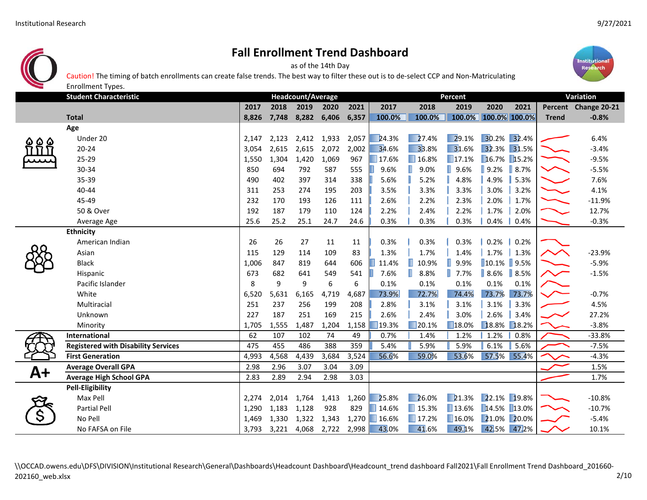

as of the 14th Day

Caution! The timing of batch enrollments can create false trends. The best way to filter these out is to de‐select CCP and Non‐Matriculating



|     | <b>Enrollment Types.</b>                   |       |       |                          |             |       |        |                      |                      |                      |                   |              |                      |  |
|-----|--------------------------------------------|-------|-------|--------------------------|-------------|-------|--------|----------------------|----------------------|----------------------|-------------------|--------------|----------------------|--|
|     | <b>Student Characteristic</b>              |       |       | <b>Headcount/Average</b> |             |       |        |                      | <b>Percent</b>       |                      |                   | Variation    |                      |  |
|     |                                            | 2017  | 2018  | 2019                     | 2020        | 2021  | 2017   | 2018                 | 2019                 | 2020                 | 2021              |              | Percent Change 20-21 |  |
|     | <b>Total</b>                               | 8,826 | 7,748 | 8,282                    | 6,406       | 6,357 | 100.0% | 100.0%               |                      | 100.0% 100.0% 100.0% |                   | <b>Trend</b> | $-0.8%$              |  |
|     | Age                                        |       |       |                          |             |       |        |                      |                      |                      |                   |              |                      |  |
| 6 Q | Under 20                                   | 2,147 | 2,123 |                          | 2,412 1,933 | 2,057 | 24.3%  | 27.4%                | 29.1%                | 30.2% 32.4%          |                   |              | 6.4%                 |  |
|     | $20 - 24$                                  | 3,054 | 2,615 | 2,615                    | 2,072       | 2,002 | 34.6%  | 33.8%                | 31.6%                | 32.3% 31.5%          |                   |              | $-3.4%$              |  |
|     | $25 - 29$                                  | 1,550 | 1,304 | 1,420                    | 1,069       | 967   | 17.6%  | $\blacksquare$ 16.8% | $\Box$ 17.1%         | 16.7% 15.2%          |                   |              | $-9.5%$              |  |
|     | 30-34                                      | 850   | 694   | 792                      | 587         | 555   | 9.6%   | 9.0%                 | T<br>9.6%            | $\blacksquare$ 9.2%  | $\vert\vert$ 8.7% |              | $-5.5%$              |  |
|     | 35-39                                      | 490   | 402   | 397                      | 314         | 338   | 5.6%   | 5.2%                 | 4.8%                 | 4.9%                 | 5.3%              |              | 7.6%                 |  |
|     | 40-44                                      | 311   | 253   | 274                      | 195         | 203   | 3.5%   | 3.3%                 | 3.3%                 | 3.0%                 | 3.2%              |              | 4.1%                 |  |
|     | 45-49                                      | 232   | 170   | 193                      | 126         | 111   | 2.6%   | 2.2%                 | 2.3%                 | 2.0%                 | 1.7%              |              | $-11.9%$             |  |
|     | 50 & Over                                  | 192   | 187   | 179                      | 110         | 124   | 2.2%   | 2.4%                 | 2.2%                 | 1.7%                 | 2.0%              |              | 12.7%                |  |
|     | Average Age                                | 25.6  | 25.2  | 25.1                     | 24.7        | 24.6  | 0.3%   | 0.3%                 | 0.3%                 | 0.4%                 | 0.4%              |              | $-0.3%$              |  |
|     | <b>Ethnicity</b>                           |       |       |                          |             |       |        |                      |                      |                      |                   |              |                      |  |
|     | American Indian                            | 26    | 26    | 27                       | 11          | 11    | 0.3%   | 0.3%                 | 0.3%                 | $0.2\%$              | 0.2%              |              |                      |  |
|     | Asian                                      | 115   | 129   | 114                      | 109         | 83    | 1.3%   | 1.7%                 | 1.4%                 | $1.7\%$              | 1.3%              |              | $-23.9%$             |  |
|     | <b>Black</b>                               | 1,006 | 847   | 819                      | 644         | 606   | 11.4%  | 10.9%<br>н           | 9.9%<br>н            | 10.1% 9.5%           |                   |              | $-5.9%$              |  |
|     | Hispanic                                   | 673   | 682   | 641                      | 549         | 541   | 7.6%   | 8.8%                 | T<br>7.7%            | 8.6% 8.5%            |                   |              | $-1.5%$              |  |
|     | Pacific Islander                           | 8     | 9     | 9                        | 6           | 6     | 0.1%   | 0.1%                 | 0.1%                 | 0.1%                 | 0.1%              |              |                      |  |
|     | White                                      | 6,520 | 5,631 | 6,165                    | 4,719       | 4,687 | 73.9%  | 72.7%                | 74.4%                | 73.7%                | 73.7%             |              | $-0.7%$              |  |
|     | Multiracial                                | 251   | 237   | 256                      | 199         | 208   | 2.8%   | 3.1%                 | 3.1%                 | 3.1%                 | 3.3%              |              | 4.5%                 |  |
|     | Unknown                                    | 227   | 187   | 251                      | 169         | 215   | 2.6%   | 2.4%                 | 3.0%                 | 2.6%                 | 3.4%              |              | 27.2%                |  |
|     | Minority                                   | 1,705 | 1,555 | 1,487                    | 1,204       | 1,158 | 19.3%  | $\blacksquare$ 20.1% | $\blacksquare$ 18.0% | 18.8% 18.2%          |                   |              | $-3.8%$              |  |
|     | International                              | 62    | 107   | 102                      | 74          | 49    | 0.7%   | 1.4%                 | 1.2%                 | 1.2%                 | 0.8%              |              | $-33.8%$             |  |
|     | <b>Registered with Disability Services</b> | 475   | 455   | 486                      | 388         | 359   | 5.4%   | 5.9%                 | 5.9%                 | 6.1%                 | 5.6%              |              | $-7.5%$              |  |
|     | <b>First Generation</b>                    | 4,993 | 4,568 | 4,439                    | 3,684       | 3,524 | 56.6%  | 59.0%                | 53.6%                | 57.5% 55.4%          |                   |              | $-4.3%$              |  |
| A+  | <b>Average Overall GPA</b>                 | 2.98  | 2.96  | 3.07                     | 3.04        | 3.09  |        |                      |                      |                      |                   |              | 1.5%                 |  |
|     | <b>Average High School GPA</b>             | 2.83  | 2.89  | 2.94                     | 2.98        | 3.03  |        |                      |                      |                      |                   |              | 1.7%                 |  |
|     | <b>Pell-Eligibility</b>                    |       |       |                          |             |       |        |                      |                      |                      |                   |              |                      |  |
|     | Max Pell                                   | 2,274 | 2,014 | 1,764                    | 1,413       | 1,260 | 25.8%  | 26.0%                | 21.3%                | 22.1% 19.8%          |                   |              | $-10.8%$             |  |
|     | <b>Partial Pell</b>                        | 1,290 | 1,183 | 1,128                    | 928         | 829   | 14.6%  | $\blacksquare$ 15.3% | $\blacksquare$ 13.6% | 14.5% 13.0%          |                   |              | $-10.7%$             |  |
|     | No Pell                                    | 1,469 | 1,330 | 1,322                    | 1,343       | 1,270 | 16.6%  | $\blacksquare$ 17.2% | $\blacksquare$ 16.0% | 21.0% 20.0%          |                   |              | $-5.4%$              |  |
|     | No FAFSA on File                           | 3,793 | 3,221 | 4,068                    | 2,722       | 2,998 | 43.0%  | 41.6%                | 49.1%                | 42.5% 47.2%          |                   |              | 10.1%                |  |

\\OCCAD.owens.edu\DFS\DIVISION\Institutional Research\General\Dashboards\Headcount Dashboard\Headcount\_trend dashboard Fall2021\Fall Enrollment Trend Dashboard\_201660-202160\_web.xlsx 2/10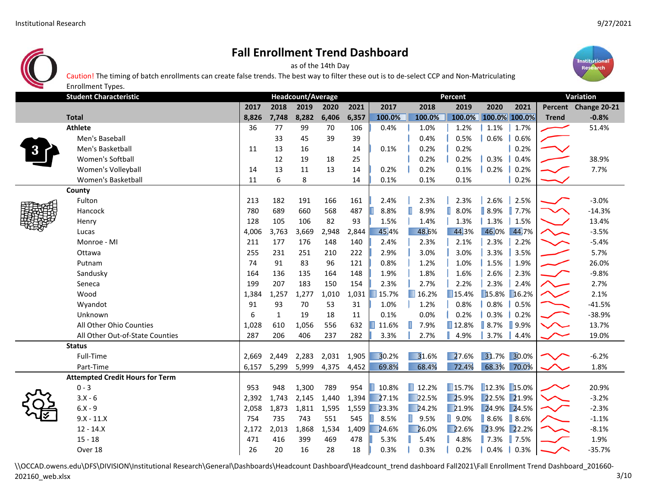Enrollment Types.



## **Fall Enrollment Trend Dashboard**

as of the 14th Day

Caution! The timing of batch enrollments can create false trends. The best way to filter these out is to de‐select CCP and Non‐Matriculating



|  |                                        |       | Headcount/Average |       |       |       | Percent | Variation            |                      |                     |                |              |                      |
|--|----------------------------------------|-------|-------------------|-------|-------|-------|---------|----------------------|----------------------|---------------------|----------------|--------------|----------------------|
|  |                                        | 2017  | 2018              | 2019  | 2020  | 2021  | 2017    | 2018                 | 2019                 | 2020                | 2021           |              | Percent Change 20-21 |
|  | <b>Total</b>                           | 8.826 | 7,748             | 8,282 | 6,406 | 6,357 | 100.0%  | 100.0%               | 100.0%               | 100.0% 100.0%       |                | <b>Trend</b> | $-0.8%$              |
|  | <b>Athlete</b>                         | 36    | 77                | 99    | 70    | 106   | 0.4%    | 1.0%                 | 1.2%                 | 1.1%                | 1.7%           |              | 51.4%                |
|  | Men's Baseball                         |       | 33                | 45    | 39    | 39    |         | 0.4%                 | 0.5%                 | 0.6%                | 0.6%           |              |                      |
|  | Men's Basketball                       | 11    | 13                | 16    |       | 14    | 0.1%    | 0.2%                 | 0.2%                 |                     | 0.2%           |              |                      |
|  | Women's Softball                       |       | 12                | 19    | 18    | 25    |         | 0.2%                 | 0.2%                 | 0.3%                | 0.4%           |              | 38.9%                |
|  | Women's Volleyball                     | 14    | 13                | 11    | 13    | 14    | 0.2%    | 0.2%                 | 0.1%                 | 0.2%                | 0.2%           |              | 7.7%                 |
|  | Women's Basketball                     | 11    | 6                 | 8     |       | 14    | 0.1%    | 0.1%                 | 0.1%                 |                     | 0.2%           |              |                      |
|  | County                                 |       |                   |       |       |       |         |                      |                      |                     |                |              |                      |
|  | Fulton                                 | 213   | 182               | 191   | 166   | 161   | 2.4%    | 2.3%                 | 2.3%                 | 2.6%                | 2.5%           |              | $-3.0%$              |
|  | Hancock                                | 780   | 689               | 660   | 568   | 487   | 8.8%    | П<br>8.9%            | ı<br>8.0%            | $\vert$ 8.9%        | $\  7.7\%$     | $\checkmark$ | $-14.3%$             |
|  | Henry                                  | 128   | 105               | 106   | 82    | 93    | 1.5%    | 1.4%                 | 1.3%                 | 1.3%                | 1.5%           |              | 13.4%                |
|  | Lucas                                  | 4,006 | 3,763             | 3,669 | 2,948 | 2,844 | 45.4%   | 48.6%                | 44.3%                | 46.0%               | 44.7%          | $\sim$       | $-3.5%$              |
|  | Monroe - MI                            | 211   | 177               | 176   | 148   | 140   | 2.4%    | 2.3%                 | 2.1%                 | 2.3%                | 2.2%           |              | $-5.4%$              |
|  | Ottawa                                 | 255   | 231               | 251   | 210   | 222   | 2.9%    | 3.0%                 | 3.0%                 | 3.3%                | 3.5%           |              | 5.7%                 |
|  | Putnam                                 | 74    | 91                | 83    | 96    | 121   | 0.8%    | 1.2%                 | 1.0%                 | 1.5%                | 1.9%           |              | 26.0%                |
|  | Sandusky                               | 164   | 136               | 135   | 164   | 148   | 1.9%    | 1.8%                 | 1.6%                 | 2.6%                | 2.3%           |              | $-9.8%$              |
|  | Seneca                                 | 199   | 207               | 183   | 150   | 154   | 2.3%    | 2.7%                 | 2.2%                 | 2.3%                | 2.4%           |              | 2.7%                 |
|  | Wood                                   | 1,384 | 1,257             | 1,277 | 1,010 | 1,031 | 15.7%   | $\blacksquare$ 16.2% | $\blacksquare$ 15.4% | 15.8%               | 16.2%          |              | 2.1%                 |
|  | Wyandot                                | 91    | 93                | 70    | 53    | 31    | 1.0%    | 1.2%                 | 0.8%                 | 0.8%                | 0.5%           |              | $-41.5%$             |
|  | Unknown                                | 6     | $\mathbf{1}$      | 19    | 18    | 11    | 0.1%    | 0.0%                 | 0.2%                 | $0.3\%$             | 0.2%           |              | $-38.9%$             |
|  | All Other Ohio Counties                | 1,028 | 610               | 1,056 | 556   | 632   | 11.6%   | п<br>7.9%            | ■12.8%               | $\vert$ 8.7%        | $\sqrt{9.9\%}$ | $\sim$       | 13.7%                |
|  | All Other Out-of-State Counties        | 287   | 206               | 406   | 237   | 282   | 3.3%    | 2.7%                 | 4.9%                 | 3.7%                | 4.4%           |              | 19.0%                |
|  | <b>Status</b>                          |       |                   |       |       |       |         |                      |                      |                     |                |              |                      |
|  | Full-Time                              | 2,669 | 2,449             | 2,283 | 2,031 | 1,905 | 30.2%   | 31.6%                | 27.6%                | 31.7% 30.0%         |                |              | $-6.2%$              |
|  | Part-Time                              | 6,157 | 5,299             | 5,999 | 4,375 | 4,452 | 69.8%   | 68.4%                | 72.4%                |                     | 68.3% 70.0%    |              | 1.8%                 |
|  | <b>Attempted Credit Hours for Term</b> |       |                   |       |       |       |         |                      |                      |                     |                |              |                      |
|  | $0 - 3$                                | 953   | 948               | 1,300 | 789   | 954   | 10.8%   | $\blacksquare$ 12.2% | $\blacksquare$ 15.7% | 12.3% 15.0%         |                |              | 20.9%                |
|  | $3.X - 6$                              | 2,392 | 1,743             | 2,145 | 1,440 | 1,394 | 27.1%   | $\Box$ 22.5%         | 25.9%                | 22.5% 21.9%         |                |              | $-3.2%$              |
|  | $6.X - 9$                              | 2,058 | 1,873             | 1,811 | 1,595 | 1,559 | 23.3%   | 24.2%                | 21.9%                | 24.9%               | 24.5%          |              | $-2.3%$              |
|  | $9.X - 11.X$                           | 754   | 735               | 743   | 551   | 545   | 8.5%    | $\blacksquare$ 9.5%  | $\blacksquare$ 9.0%  | $\blacksquare$ 8.6% | 8.6%           |              | $-1.1%$              |
|  | $12 - 14.X$                            | 2,172 | 2,013             | 1,868 | 1,534 | 1,409 | 24.6%   | 26.0%                | 22.6%                | 23.9%               | 22.2%          |              | $-8.1%$              |
|  | $15 - 18$                              | 471   | 416               | 399   | 469   | 478   | 5.3%    | 5.4%                 | 4.8%                 | $\blacksquare$ 7.3% | $\sqrt{7.5\%}$ |              | 1.9%                 |
|  | Over 18                                | 26    | 20                | 16    | 28    | 18    | 0.3%    | 0.3%                 | 0.2%                 | $0.4\%$             | 0.3%           |              | $-35.7%$             |

\\OCCAD.owens.edu\DFS\DIVISION\Institutional Research\General\Dashboards\Headcount Dashboard\Headcount\_trend dashboard Fall2021\Fall Enrollment Trend Dashboard\_201660-202160\_web.xlsx 3/10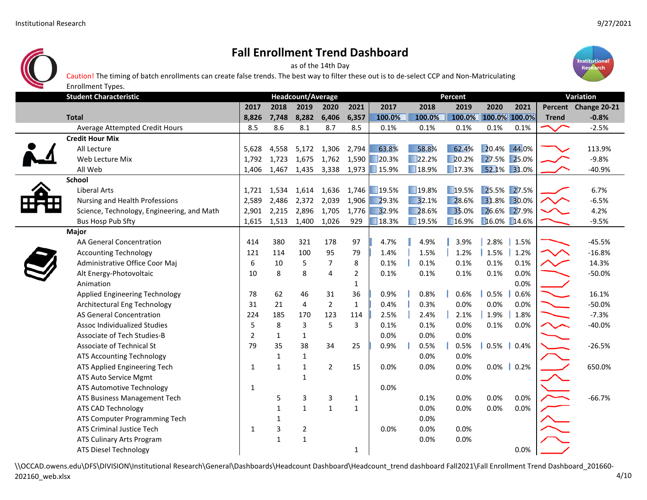

as of the 14th Day







|                                            | 2017           | 2018         | 2019           | 2020           | 2021           | 2017                 | 2018                 | 2019                 | 2020                 | 2021         | Percent      | Change 20-21 |
|--------------------------------------------|----------------|--------------|----------------|----------------|----------------|----------------------|----------------------|----------------------|----------------------|--------------|--------------|--------------|
| <b>Total</b>                               | 8,826          | 7,748        | 8,282          | 6,406          | 6,357          | 100.0%               | 100.0%               |                      | 100.0% 100.0% 100.0% |              | <b>Trend</b> | $-0.8%$      |
| Average Attempted Credit Hours             | 8.5            | 8.6          | 8.1            | 8.7            | 8.5            | 0.1%                 | 0.1%                 | 0.1%                 | 0.1%                 | 0.1%         |              | $-2.5%$      |
| <b>Credit Hour Mix</b>                     |                |              |                |                |                |                      |                      |                      |                      |              |              |              |
| All Lecture                                | 5,628          | 4,558        | 5,172          | 1,306          | 2,794          | 63.8%                | 58.8%                | 62.4%                | 20.4% 44.0%          |              |              | 113.9%       |
| Web Lecture Mix                            | 1,792          | 1,723        | 1,675          | 1,762          | 1,590          | $\blacksquare$ 20.3% | $\blacksquare$ 22.2% | 20.2%                |                      | 27.5% 25.0%  |              | $-9.8%$      |
| All Web                                    | 1,406          | 1,467        | 1,435          | 3,338          | 1,973          | $\blacksquare$ 15.9% | $\blacksquare$ 18.9% | $\blacksquare$ 17.3% |                      | 52.1% 31.0%  |              | $-40.9%$     |
| <b>School</b>                              |                |              |                |                |                |                      |                      |                      |                      |              |              |              |
| <b>Liberal Arts</b>                        | 1,721          | 1,534        | 1,614          | 1,636          | 1,746          | $\blacksquare$ 19.5% | $\Box$ 19.8%         | 19.5%                |                      | 25.5% 27.5%  |              | 6.7%         |
| Nursing and Health Professions             | 2,589          | 2,486        | 2,372          | 2,039          | 1,906          | 29.3%                | 32.1%                | 28.6%                |                      | 31.8% 30.0%  |              | $-6.5%$      |
| Science, Technology, Engineering, and Math | 2,901          | 2,215        | 2,896          | 1,705          | 1,776          | 32.9%                | 28.6%                | 35.0%                |                      | 26.6% 27.9%  |              | 4.2%         |
| <b>Bus Hosp Pub Sfty</b>                   | 1,615          | 1,513        | 1,400          | 1,026          | 929            | 18.3%                | $\Box$ 19.5%         | $\Box$ 16.9%         |                      | 16.0% 14.6%  |              | $-9.5%$      |
| Major                                      |                |              |                |                |                |                      |                      |                      |                      |              |              |              |
| AA General Concentration                   | 414            | 380          | 321            | 178            | 97             | 4.7%                 | 4.9%                 | 3.9%                 | 2.8%                 | 1.5%         |              | $-45.5%$     |
| <b>Accounting Technology</b>               | 121            | 114          | 100            | 95             | 79             | 1.4%                 | 1.5%                 | 1.2%                 | 1.5%                 | 1.2%         |              | $-16.8%$     |
| Administrative Office Coor Maj             | 6              | 10           | 5              | $\overline{7}$ | 8              | 0.1%                 | 0.1%                 | 0.1%                 | 0.1%                 | 0.1%         |              | 14.3%        |
| Alt Energy-Photovoltaic                    | 10             | 8            | 8              | 4              | $\overline{2}$ | 0.1%                 | 0.1%                 | 0.1%                 | 0.1%                 | 0.0%         |              | $-50.0%$     |
| Animation                                  |                |              |                |                | $\mathbf{1}$   |                      |                      |                      |                      | 0.0%         |              |              |
| Applied Engineering Technology             | 78             | 62           | 46             | 31             | 36             | 0.9%                 | 0.8%                 | 0.6%                 | 0.5%                 | 0.6%         |              | 16.1%        |
| Architectural Eng Technology               | 31             | 21           | 4              | $\mathbf 2$    | $\mathbf{1}$   | 0.4%                 | 0.3%                 | 0.0%                 | 0.0%                 | 0.0%         |              | $-50.0%$     |
| AS General Concentration                   | 224            | 185          | 170            | 123            | 114            | 2.5%                 | 2.4%                 | 2.1%                 | 1.9%                 | 1.8%         |              | $-7.3%$      |
| <b>Assoc Individualized Studies</b>        | 5              | 8            | 3              | 5              | 3              | 0.1%                 | 0.1%                 | 0.0%                 | 0.1%                 | 0.0%         |              | $-40.0%$     |
| <b>Associate of Tech Studies-B</b>         | $\overline{2}$ | $\mathbf{1}$ | $\mathbf{1}$   |                |                | 0.0%                 | 0.0%                 | 0.0%                 |                      |              |              |              |
| Associate of Technical St                  | 79             | 35           | 38             | 34             | 25             | 0.9%                 | 0.5%                 | 0.5%                 | 0.5%                 | 0.4%         |              | $-26.5%$     |
| <b>ATS Accounting Technology</b>           |                | $\mathbf{1}$ | $\mathbf{1}$   |                |                |                      | 0.0%                 | 0.0%                 |                      |              |              |              |
| ATS Applied Engineering Tech               | $\mathbf{1}$   | $\mathbf{1}$ | $\mathbf{1}$   | $\overline{2}$ | 15             | 0.0%                 | 0.0%                 | 0.0%                 |                      | $0.0\%$ 0.2% |              | 650.0%       |
| ATS Auto Service Mgmt                      |                |              | $\mathbf{1}$   |                |                |                      |                      | 0.0%                 |                      |              |              |              |
| ATS Automotive Technology                  | $\mathbf{1}$   |              |                |                |                | 0.0%                 |                      |                      |                      |              |              |              |
| ATS Business Management Tech               |                | 5            | 3              | 3              | $\mathbf{1}$   |                      | 0.1%                 | 0.0%                 | 0.0%                 | 0.0%         |              | $-66.7%$     |
| ATS CAD Technology                         |                | $\mathbf{1}$ | $\mathbf{1}$   | $\mathbf 1$    | $\mathbf{1}$   |                      | 0.0%                 | 0.0%                 | 0.0%                 | 0.0%         |              |              |
| ATS Computer Programming Tech              |                | 1            |                |                |                |                      | 0.0%                 |                      |                      |              |              |              |
| ATS Criminal Justice Tech                  | $\mathbf{1}$   | 3            | $\overline{2}$ |                |                | 0.0%                 | 0.0%                 | 0.0%                 |                      |              |              |              |
| ATS Culinary Arts Program                  |                | $\mathbf{1}$ | $\mathbf{1}$   |                |                |                      | 0.0%                 | 0.0%                 |                      |              |              |              |
| ATS Diesel Technology                      |                |              |                |                | 1              |                      |                      |                      |                      | 0.0%         |              |              |
|                                            |                |              |                |                |                |                      |                      |                      |                      |              |              |              |

\\OCCAD.owens.edu\DFS\DIVISION\Institutional Research\General\Dashboards\Headcount Dashboard\Headcount\_trend dashboard Fall2021\Fall Enrollment Trend Dashboard\_201660‐ 202160\_web.xlsx 4/10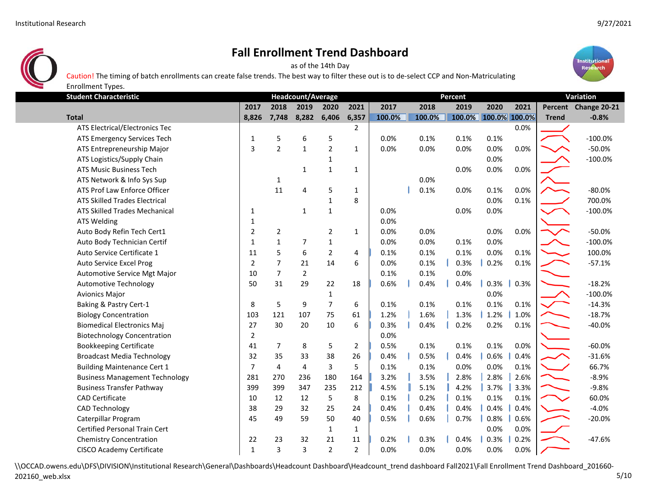

as of the 14th Day





**Student Characteristic**2017 2018 2019 2020 2021 2017 2018 2019 2020 2021 Percent Change 20-21 **Total 8,826 7,748 8,282 6,406 6,357 100.0% 100.0% 100.0% 100.0% 100.0% Trend ‐0.8%** Enrollment Types. **Headcount/Average Percent Variation** ATS Electrical/Electronics Tec 2 0.0% ATS Emergency Services Tech 1 5 6 5 0.0% 0.1% 0.1% 0.1% 100.0% 100.0% ATS Entrepreneurship Major | 3 2 1 2 1 0.0% 0.0% 0.0% 0.0% 0.0% -50.0% -50.0% ATS Music Business Tech 1 1 1 0.0% 0.0% 0.0% ATS Network & Info Sys Sup 1 0.0%

| ATS Logistics/Supply Chain            |                |                |                | 1              |                |      |      |      | 0.0% |      | $-100.0%$ |
|---------------------------------------|----------------|----------------|----------------|----------------|----------------|------|------|------|------|------|-----------|
| <b>ATS Music Business Tech</b>        |                |                | $\mathbf{1}$   | $\mathbf{1}$   | $\mathbf{1}$   |      |      | 0.0% | 0.0% | 0.0% |           |
| ATS Network & Info Sys Sup            |                | 1              |                |                |                |      | 0.0% |      |      |      |           |
| ATS Prof Law Enforce Officer          |                | 11             | 4              | 5              | $\mathbf{1}$   |      | 0.1% | 0.0% | 0.1% | 0.0% | $-80.0%$  |
| <b>ATS Skilled Trades Electrical</b>  |                |                |                | $\mathbf{1}$   | 8              |      |      |      | 0.0% | 0.1% | 700.0%    |
| <b>ATS Skilled Trades Mechanical</b>  | 1              |                | 1              | $\mathbf{1}$   |                | 0.0% |      | 0.0% | 0.0% |      | $-100.0%$ |
| <b>ATS Welding</b>                    | 1              |                |                |                |                | 0.0% |      |      |      |      |           |
| Auto Body Refin Tech Cert1            | $\overline{2}$ | $\overline{2}$ |                | $\overline{2}$ | $\mathbf{1}$   | 0.0% | 0.0% |      | 0.0% | 0.0% | $-50.0%$  |
| Auto Body Technician Certif           | $\mathbf{1}$   | $\mathbf{1}$   | 7              | $\mathbf{1}$   |                | 0.0% | 0.0% | 0.1% | 0.0% |      | $-100.0%$ |
| Auto Service Certificate 1            | 11             | 5              | 6              | $\overline{2}$ | 4              | 0.1% | 0.1% | 0.1% | 0.0% | 0.1% | 100.0%    |
| Auto Service Excel Prog               | $\overline{2}$ | $\overline{7}$ | 21             | 14             | 6              | 0.0% | 0.1% | 0.3% | 0.2% | 0.1% | $-57.1%$  |
| Automotive Service Mgt Major          | 10             | $\overline{7}$ | $\overline{2}$ |                |                | 0.1% | 0.1% | 0.0% |      |      |           |
| <b>Automotive Technology</b>          | 50             | 31             | 29             | 22             | 18             | 0.6% | 0.4% | 0.4% | 0.3% | 0.3% | $-18.2%$  |
| <b>Avionics Major</b>                 |                |                |                | $\mathbf{1}$   |                |      |      |      | 0.0% |      | $-100.0%$ |
| Baking & Pastry Cert-1                | 8              | 5              | 9              | $\overline{7}$ | 6              | 0.1% | 0.1% | 0.1% | 0.1% | 0.1% | $-14.3%$  |
| <b>Biology Concentration</b>          | 103            | 121            | 107            | 75             | 61             | 1.2% | 1.6% | 1.3% | 1.2% | 1.0% | $-18.7%$  |
| <b>Biomedical Electronics Maj</b>     | 27             | 30             | 20             | 10             | 6              | 0.3% | 0.4% | 0.2% | 0.2% | 0.1% | $-40.0%$  |
| <b>Biotechnology Concentration</b>    | $\overline{2}$ |                |                |                |                | 0.0% |      |      |      |      |           |
| <b>Bookkeeping Certificate</b>        | 41             | $\overline{7}$ | 8              | 5              | $\overline{2}$ | 0.5% | 0.1% | 0.1% | 0.1% | 0.0% | $-60.0%$  |
| <b>Broadcast Media Technology</b>     | 32             | 35             | 33             | 38             | 26             | 0.4% | 0.5% | 0.4% | 0.6% | 0.4% | $-31.6%$  |
| <b>Building Maintenance Cert 1</b>    | $\overline{7}$ | 4              | $\overline{4}$ | 3              | 5              | 0.1% | 0.1% | 0.0% | 0.0% | 0.1% | 66.7%     |
| <b>Business Management Technology</b> | 281            | 270            | 236            | 180            | 164            | 3.2% | 3.5% | 2.8% | 2.8% | 2.6% | $-8.9%$   |
| <b>Business Transfer Pathway</b>      | 399            | 399            | 347            | 235            | 212            | 4.5% | 5.1% | 4.2% | 3.7% | 3.3% | $-9.8%$   |
| <b>CAD Certificate</b>                | 10             | 12             | 12             | 5              | 8              | 0.1% | 0.2% | 0.1% | 0.1% | 0.1% | 60.0%     |
| <b>CAD Technology</b>                 | 38             | 29             | 32             | 25             | 24             | 0.4% | 0.4% | 0.4% | 0.4% | 0.4% | $-4.0%$   |
| Caterpillar Program                   | 45             | 49             | 59             | 50             | 40             | 0.5% | 0.6% | 0.7% | 0.8% | 0.6% | $-20.0%$  |
| <b>Certified Personal Train Cert</b>  |                |                |                | $\mathbf{1}$   | 1              |      |      |      | 0.0% | 0.0% |           |
| <b>Chemistry Concentration</b>        | 22             | 23             | 32             | 21             | 11             | 0.2% | 0.3% | 0.4% | 0.3% | 0.2% | $-47.6%$  |
| <b>CISCO Academy Certificate</b>      | $\mathbf{1}$   | 3              | 3              | $\overline{2}$ | $\overline{2}$ | 0.0% | 0.0% | 0.0% | 0.0% | 0.0% |           |
|                                       |                |                |                |                |                |      |      |      |      |      |           |

\\OCCAD.owens.edu\DFS\DIVISION\Institutional Research\General\Dashboards\Headcount Dashboard\Headcount\_trend dashboard Fall2021\Fall Enrollment Trend Dashboard\_201660‐ 202160\_web.xlsx 5/10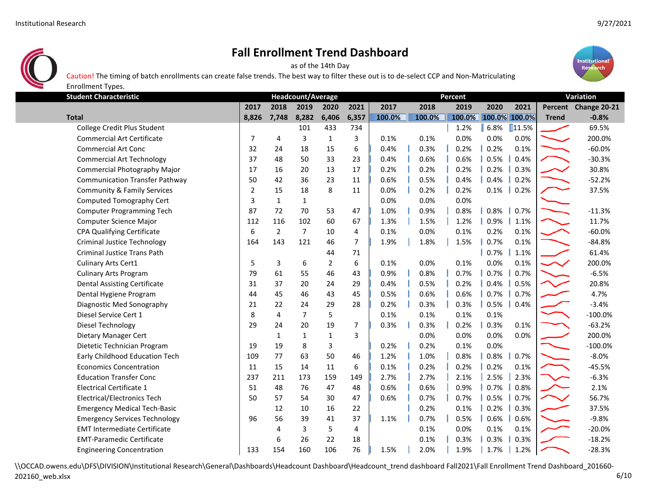

as of the 14th Day

Caution! The timing of batch enrollments can create false trends. The best way to filter these out is to de‐select CCP and Non‐Matriculating



**Student Characteristic**2017 2018 2019 2020 2021 2017 2018 2019 2020 2021 Percent Change 20-21 8.826 7.748 8.282 6.406 6.357 100.0% 100.0% 100.0% 100.0% 100.0% 100.0% Trend -0.8% بـــــــــــــــــــــــــ Enrollment Types. **Headcount/Average Percent Variation** College Credit Plus Student 101 433 734 1.2% 6.8% 11.5% 69.5% Commercial Art Certificate 7 4 3 1 3 0.1% 0.1% 0.0% 0.0% 0.0% 200.0% Commercial Art Conc 32 24 18 15 6 0.4% 0.3% 0.2% 0.2% 0.1% ‐60.0% Commercial Art Technology 1990 120 137 48 50 33 23 || 0.4% | 0.6% | 0.6% | 0.5% | 0.4% | 1200 130.3% Commercial Photography Major 17 16 20 13 17 0.2% 0.2% 0.2% 0.2% 0.3% 30.8% Communication Transfer Pathway 1980 1980 1980 10.5% 10.4% 10.4% 10.4% 10.2% 1980 10.4% 10.2% 10.2% 1 Community & Family Services 27.5% 2 15 18 8 11 0.0% 0.2% 0.2% 0.1% 0.2% 27.5% Computed Tomography Cert  $\begin{array}{cccc} \vert & 3 & 1 & 1 \end{array}$  and  $\begin{array}{cccc} \vert & 0.0\% & 0.0\% \end{array}$  0.0% 0.0% Computer Programming Tech 1.0% 1 87 72 70 53 47 || 1.0% | 0.9% | 0.8% | 0.8% | 0.7% | ← 11.3% ← 11.3% Computer Science Major 11.7% | 112 116 102 60 67 || 1.3% | 1.5% | 1.2% | 0.9% | 1.1% | 1.1% 11.7% CPA Qualifying Certificate 6 2 7 10 4 0.1% 0.0% 0.1% 0.2% 0.1% ‐60.0% Criminal Justice Technology 1.64 143 121 46 7 || 1.9% | 1.8% | 1.5% | 0.7% 0.1% | ■ 1.9% -84.8% Criminal Justice Trans Path 44 71 0.7% 1.1% 61.4% Culinary Arts Cert1 **1** 5 3 6 2 6 0.1% 0.0% 0.1% 0.0% 0.1% 200.0% Culinary Arts Program 79 61 55 46 43 0.9% 0.8% 0.7% 0.7% 0.7% ‐6.5% Dental Assisting Certificate 20.8% **31 37 20 24 29 0.4% 0.5% 0.2% 0.4% 0.5% 1** 20.8% Dental Hygiene Program 1.7% and 144 45 46 43 45 || 0.5% || 0.6% || 0.6% || 0.7% || ○ 1.7% || △ 1.7% 4.7% Diagnostic Med Sonography 121 22 24 29 28 0.2% **0.3% 0.3% 0.5% 0.4% • 3.4%** -3.4% Diesel Service Cert 1 1 100.0% ● 100.0 → 100.0 → 100.0 → 100.0 → 100.0 → 100.0 → 100.0 → 100.0 → 100.0 → 100.0 → 100.0 → 100.0 → 100.0 → 100.0 → 100.0 → 100.0 → 100.0 → 100.0 → 100.0 → 100.0 → 100.0 → 100.0 → 100.0 → 100. Diesel Technology 29 24 20 19 7 0.3% 0.3% 0.2% 0.3% 0.1% ‐63.2% Dietary Manager Cert 1 1 1 3 0.0% 0.0% 0.0% 0.0% 200.0% Dietetic Technician Program 19 19 8 3 0.2% 0.2% 0.1% 0.0% ‐100.0% Early Childhood Education Tech 109 77 63 50 46 1.2% 1.0% 1.0% 0.8% 10.8% 1.7% ↓ 8.0% Economics Concentration 11 15 14 11 6 0.1% 0.2% 0.2% 0.2% 0.1% ‐45.5% Education Transfer Conc 237 211 173 159 149 2.7% 2.7% 2.1% 2.5% 2.3% ‐6.3% Electrical Certificate 1 51 48 76 47 48 0.6% 0.6% 0.9% 0.7% 0.8% 2.1% Electrical/Electronics Tech 50 57 54 30 47 0.6% 0.7% 0.7% 0.5% 0.7% 56.7% Emergency Medical Tech-Basic 12 12 10 16 22 | 10.2% 0.1% 0.2% 0.3% | 1.3% 37.5% Emergency Services Technology 96 56 39 41 37 1.1% 0.7% 0.5% 0.6% -9.8% EMT Intermediate Certificate 1 4 3 5 4 0.1% 0.0% 0.1% 0.1% 1 -20.0%

\\OCCAD.owens.edu\DFS\DIVISION\Institutional Research\General\Dashboards\Headcount Dashboard\Headcount\_trend dashboard Fall2021\Fall Enrollment Trend Dashboard\_201660-202160\_web.xlsx 6/10

EMT-Paramedic Certificate 6 18.2% **6 26 22 18 18.2% 0.3% 0.3% 6.3% 1 0.3% 1 18.2%** -18.2% Engineering Concentration 133 154 160 106 76 1.5% 2.0% 1.9% 1.7% 1.2% ‐28.3%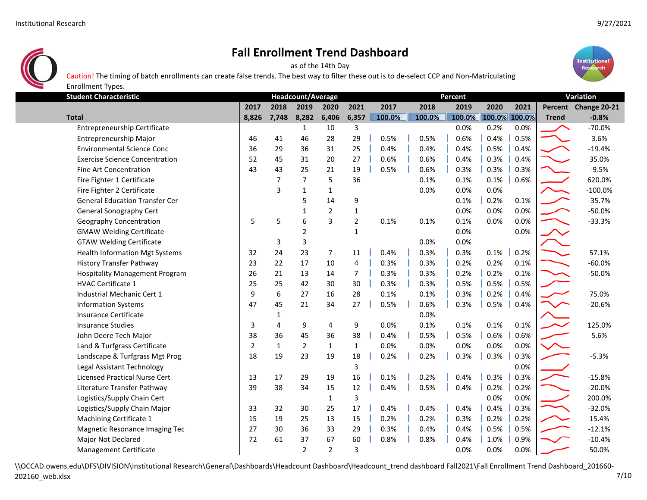Enrollment Types.



## **Fall Enrollment Trend Dashboard**

as of the 14th Day





| <b>Student Characteristic</b>         |                | Percent        |                |                |                |        |  |        | Variation |        |      |               |              |                      |
|---------------------------------------|----------------|----------------|----------------|----------------|----------------|--------|--|--------|-----------|--------|------|---------------|--------------|----------------------|
|                                       | 2017           | 2018           | 2019           | 2020           | 2021           | 2017   |  | 2018   |           | 2019   | 2020 | 2021          |              | Percent Change 20-21 |
| <b>Total</b>                          | 8,826          | 7,748          | 8,282          | 6,406          | 6,357          | 100.0% |  | 100.0% |           | 100.0% |      | 100.0% 100.0% | <b>Trend</b> | $-0.8%$              |
| Entrepreneurship Certificate          |                |                | $\mathbf{1}$   | 10             | 3              |        |  |        |           | 0.0%   | 0.2% | 0.0%          |              | $-70.0%$             |
| Entrepreneurship Major                | 46             | 41             | 46             | 28             | 29             | 0.5%   |  | 0.5%   |           | 0.6%   | 0.4% | 0.5%          |              | 3.6%                 |
| <b>Environmental Science Conc</b>     | 36             | 29             | 36             | 31             | 25             | 0.4%   |  | 0.4%   |           | 0.4%   | 0.5% | 0.4%          |              | $-19.4%$             |
| <b>Exercise Science Concentration</b> | 52             | 45             | 31             | 20             | 27             | 0.6%   |  | 0.6%   |           | 0.4%   | 0.3% | 0.4%          |              | 35.0%                |
| <b>Fine Art Concentration</b>         | 43             | 43             | 25             | 21             | 19             | 0.5%   |  | 0.6%   |           | 0.3%   | 0.3% | 0.3%          |              | $-9.5%$              |
| Fire Fighter 1 Certificate            |                | $\overline{7}$ | $\overline{7}$ | 5              | 36             |        |  | 0.1%   |           | 0.1%   | 0.1% | 0.6%          |              | 620.0%               |
| Fire Fighter 2 Certificate            |                | $\overline{3}$ | $\mathbf{1}$   | $\mathbf{1}$   |                |        |  | 0.0%   |           | 0.0%   | 0.0% |               |              | $-100.0%$            |
| <b>General Education Transfer Cer</b> |                |                | 5              | 14             | 9              |        |  |        |           | 0.1%   | 0.2% | 0.1%          |              | $-35.7%$             |
| <b>General Sonography Cert</b>        |                |                | $\mathbf{1}$   | $\overline{2}$ | 1              |        |  |        |           | 0.0%   | 0.0% | 0.0%          |              | $-50.0%$             |
| Geography Concentration               | 5              | 5              | 6              | 3              | $\overline{2}$ | 0.1%   |  | 0.1%   |           | 0.1%   | 0.0% | 0.0%          |              | $-33.3%$             |
| <b>GMAW Welding Certificate</b>       |                |                | $\overline{2}$ |                | 1              |        |  |        |           | 0.0%   |      | 0.0%          |              |                      |
| <b>GTAW Welding Certificate</b>       |                | 3              | 3              |                |                |        |  | 0.0%   |           | 0.0%   |      |               |              |                      |
| <b>Health Information Mgt Systems</b> | 32             | 24             | 23             | $\overline{7}$ | 11             | 0.4%   |  | 0.3%   |           | 0.3%   | 0.1% | 0.2%          |              | 57.1%                |
| <b>History Transfer Pathway</b>       | 23             | 22             | 17             | 10             | 4              | 0.3%   |  | 0.3%   |           | 0.2%   | 0.2% | 0.1%          |              | $-60.0%$             |
| <b>Hospitality Management Program</b> | 26             | 21             | 13             | 14             | $\overline{7}$ | 0.3%   |  | 0.3%   |           | 0.2%   | 0.2% | 0.1%          |              | $-50.0%$             |
| HVAC Certificate 1                    | 25             | 25             | 42             | 30             | 30             | 0.3%   |  | 0.3%   |           | 0.5%   | 0.5% | 0.5%          |              |                      |
| Industrial Mechanic Cert 1            | 9              | 6              | 27             | 16             | 28             | 0.1%   |  | 0.1%   |           | 0.3%   | 0.2% | 0.4%          |              | 75.0%                |
| <b>Information Systems</b>            | 47             | 45             | 21             | 34             | 27             | 0.5%   |  | 0.6%   |           | 0.3%   | 0.5% | 0.4%          |              | $-20.6%$             |
| Insurance Certificate                 |                | 1              |                |                |                |        |  | 0.0%   |           |        |      |               |              |                      |
| <b>Insurance Studies</b>              | 3              | 4              | 9              | 4              | 9              | 0.0%   |  | 0.1%   |           | 0.1%   | 0.1% | 0.1%          |              | 125.0%               |
| John Deere Tech Major                 | 38             | 36             | 45             | 36             | 38             | 0.4%   |  | 0.5%   |           | 0.5%   | 0.6% | 0.6%          |              | 5.6%                 |
| Land & Turfgrass Certificate          | $\overline{2}$ | $\mathbf{1}$   | $\overline{2}$ | $\mathbf{1}$   | 1              | 0.0%   |  | 0.0%   |           | 0.0%   | 0.0% | 0.0%          |              |                      |
| Landscape & Turfgrass Mgt Prog        | 18             | 19             | 23             | 19             | 18             | 0.2%   |  | 0.2%   |           | 0.3%   | 0.3% | 0.3%          |              | $-5.3%$              |
| Legal Assistant Technology            |                |                |                |                | 3              |        |  |        |           |        |      | 0.0%          |              |                      |
| <b>Licensed Practical Nurse Cert</b>  | 13             | 17             | 29             | 19             | 16             | 0.1%   |  | 0.2%   |           | 0.4%   | 0.3% | 0.3%          |              | $-15.8%$             |
| Literature Transfer Pathway           | 39             | 38             | 34             | 15             | 12             | 0.4%   |  | 0.5%   |           | 0.4%   | 0.2% | 0.2%          |              | $-20.0%$             |
| Logistics/Supply Chain Cert           |                |                |                | $\mathbf{1}$   | 3              |        |  |        |           |        | 0.0% | 0.0%          |              | 200.0%               |
| Logistics/Supply Chain Major          | 33             | 32             | 30             | 25             | 17             | 0.4%   |  | 0.4%   |           | 0.4%   | 0.4% | 0.3%          |              | $-32.0%$             |
| Machining Certificate 1               | 15             | 19             | 25             | 13             | 15             | 0.2%   |  | 0.2%   |           | 0.3%   | 0.2% | 0.2%          |              | 15.4%                |
| Magnetic Resonance Imaging Tec        | 27             | 30             | 36             | 33             | 29             | 0.3%   |  | 0.4%   |           | 0.4%   | 0.5% | 0.5%          |              | $-12.1%$             |
| Major Not Declared                    | 72             | 61             | 37             | 67             | 60             | 0.8%   |  | 0.8%   |           | 0.4%   | 1.0% | 0.9%          |              | $-10.4%$             |
| Management Certificate                |                |                | $\overline{2}$ | $\overline{2}$ | 3              |        |  |        |           | 0.0%   | 0.0% | 0.0%          |              | 50.0%                |

\\OCCAD.owens.edu\DFS\DIVISION\Institutional Research\General\Dashboards\Headcount Dashboard\Headcount\_trend dashboard Fall2021\Fall Enrollment Trend Dashboard\_201660-202160\_web.xlsx 7/10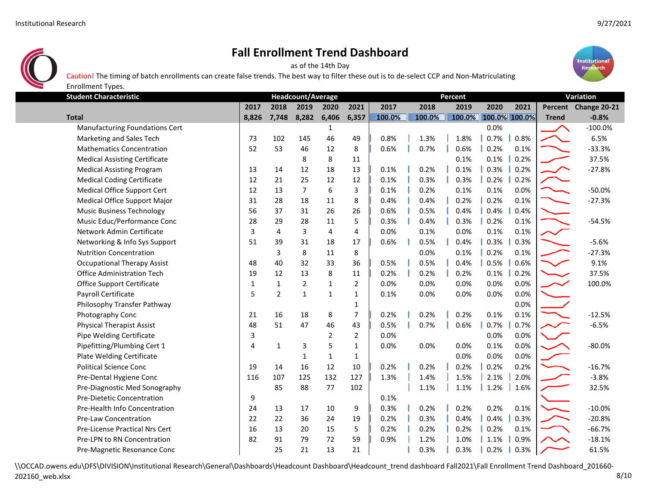

as of the 14th Day





| Enrollment Types.                     |              |                |                   |                |                |        |         |        |               |      |              |                      |
|---------------------------------------|--------------|----------------|-------------------|----------------|----------------|--------|---------|--------|---------------|------|--------------|----------------------|
| <b>Student Characteristic</b>         |              |                | Headcount/Average |                |                |        | Percent |        | Variation     |      |              |                      |
|                                       | 2017         | 2018           | 2019              | 2020           | 2021           | 2017   | 2018    | 2019   | 2020          | 2021 |              | Percent Change 20-21 |
| <b>Total</b>                          | 8,826        | 7,748          | 8,282             | 6,406          | 6,357          | 100.0% | 100.0%  | 100.0% | 100.0% 100.0% |      | <b>Trend</b> | $-0.8%$              |
| <b>Manufacturing Foundations Cert</b> |              |                |                   | 1              |                |        |         |        | 0.0%          |      |              | $-100.0%$            |
| Marketing and Sales Tech              | 73           | 102            | 145               | 46             | 49             | 0.8%   | 1.3%    | 1.8%   | 0.7%          | 0.8% |              | 6.5%                 |
| <b>Mathematics Concentration</b>      | 52           | 53             | 46                | 12             | 8              | 0.6%   | 0.7%    | 0.6%   | 0.2%          | 0.1% |              | $-33.3%$             |
| <b>Medical Assisting Certificate</b>  |              |                | 8                 | 8              | 11             |        |         | 0.1%   | 0.1%          | 0.2% |              | 37.5%                |
| <b>Medical Assisting Program</b>      | 13           | 14             | 12                | 18             | 13             | 0.1%   | 0.2%    | 0.1%   | 0.3%          | 0.2% |              | $-27.8%$             |
| <b>Medical Coding Certificate</b>     | 12           | 21             | 25                | 12             | 12             | 0.1%   | 0.3%    | 0.3%   | 0.2%          | 0.2% |              |                      |
| Medical Office Support Cert           | 12           | 13             | $\overline{7}$    | 6              | 3              | 0.1%   | 0.2%    | 0.1%   | 0.1%          | 0.0% |              | $-50.0%$             |
| Medical Office Support Major          | 31           | 28             | 18                | 11             | 8              | 0.4%   | 0.4%    | 0.2%   | 0.2%          | 0.1% |              | $-27.3%$             |
| <b>Music Business Technology</b>      | 56           | 37             | 31                | 26             | 26             | 0.6%   | 0.5%    | 0.4%   | 0.4%          | 0.4% |              |                      |
| Music Educ/Performance Conc           | 28           | 29             | 28                | 11             | 5              | 0.3%   | 0.4%    | 0.3%   | 0.2%          | 0.1% |              | $-54.5%$             |
| Network Admin Certificate             | 3            | $\overline{4}$ | 3                 | 4              | 4              | 0.0%   | 0.1%    | 0.0%   | 0.1%          | 0.1% |              |                      |
| Networking & Info Sys Support         | 51           | 39             | 31                | 18             | 17             | 0.6%   | 0.5%    | 0.4%   | 0.3%          | 0.3% |              | $-5.6%$              |
| <b>Nutrition Concentration</b>        |              | 3              | 8                 | 11             | 8              |        | 0.0%    | 0.1%   | 0.2%          | 0.1% |              | $-27.3%$             |
| <b>Occupational Therapy Assist</b>    | 48           | 40             | 32                | 33             | 36             | 0.5%   | 0.5%    | 0.4%   | 0.5%          | 0.6% |              | 9.1%                 |
| Office Administration Tech            | 19           | 12             | 13                | 8              | 11             | 0.2%   | 0.2%    | 0.2%   | 0.1%          | 0.2% |              | 37.5%                |
| <b>Office Support Certificate</b>     | $\mathbf{1}$ | $\mathbf{1}$   | $\overline{2}$    | $\mathbf{1}$   | $\overline{2}$ | 0.0%   | 0.0%    | 0.0%   | 0.0%          | 0.0% |              | 100.0%               |
| Payroll Certificate                   | 5            | $\overline{2}$ | 1                 | $\mathbf{1}$   | 1              | 0.1%   | 0.0%    | 0.0%   | 0.0%          | 0.0% |              |                      |
| Philosophy Transfer Pathway           |              |                |                   |                | 1              |        |         |        |               | 0.0% |              |                      |
| Photography Conc                      | 21           | 16             | 18                | 8              | $\overline{7}$ | 0.2%   | 0.2%    | 0.2%   | 0.1%          | 0.1% |              | $-12.5%$             |
| <b>Physical Therapist Assist</b>      | 48           | 51             | 47                | 46             | 43             | 0.5%   | 0.7%    | 0.6%   | 0.7%          | 0.7% |              | $-6.5%$              |
| Pipe Welding Certificate              | 3            |                |                   | $\overline{2}$ | $\overline{2}$ | 0.0%   |         |        | 0.0%          | 0.0% |              |                      |
| Pipefitting/Plumbing Cert 1           | 4            | $\mathbf{1}$   | 3                 | 5              | $\mathbf 1$    | 0.0%   | 0.0%    | 0.0%   | 0.1%          | 0.0% |              | $-80.0%$             |
| Plate Welding Certificate             |              |                | $\mathbf{1}$      | $\mathbf{1}$   | $\mathbf{1}$   |        |         | 0.0%   | 0.0%          | 0.0% |              |                      |
| <b>Political Science Conc</b>         | 19           | 14             | 16                | 12             | 10             | 0.2%   | 0.2%    | 0.2%   | 0.2%          | 0.2% |              | $-16.7%$             |
| Pre-Dental Hygiene Conc               | 116          | 107            | 125               | 132            | 127            | 1.3%   | 1.4%    | 1.5%   | 2.1%          | 2.0% |              | $-3.8%$              |
| Pre-Diagnostic Med Sonography         |              | 85             | 88                | 77             | 102            |        | 1.1%    | 1.1%   | 1.2%          | 1.6% |              | 32.5%                |
| Pre-Dietetic Concentration            | 9            |                |                   |                |                | 0.1%   |         |        |               |      |              |                      |
| Pre-Health Info Concentration         | 24           | 13             | 17                | 10             | 9              | 0.3%   | 0.2%    | 0.2%   | 0.2%          | 0.1% |              | $-10.0%$             |
| <b>Pre-Law Concentration</b>          | 22           | 22             | 36                | 24             | 19             | 0.2%   | 0.3%    | 0.4%   | 0.4%          | 0.3% |              | $-20.8%$             |
| <b>Pre-License Practical Nrs Cert</b> | 16           | 13             | 20                | 15             | 5              | 0.2%   | 0.2%    | 0.2%   | 0.2%          | 0.1% |              | $-66.7%$             |
| Pre-LPN to RN Concentration           | 82           | 91             | 79                | 72             | 59             | 0.9%   | 1.2%    | 1.0%   | 1.1%          | 0.9% |              | $-18.1%$             |
| Pre-Magnetic Resonance Conc           |              | 25             | 21                | 13             | 21             |        | 0.3%    | 0.3%   | 0.2%          | 0.3% |              | 61.5%                |

\\OCCAD.owens.edu\DFS\DIVISION\Institutional Research\General\Dashboards\Headcount Dashboard\Headcount\_trend dashboard Fall2021\Fall Enrollment Trend Dashboard\_201660-202160\_web.xlsx 8/10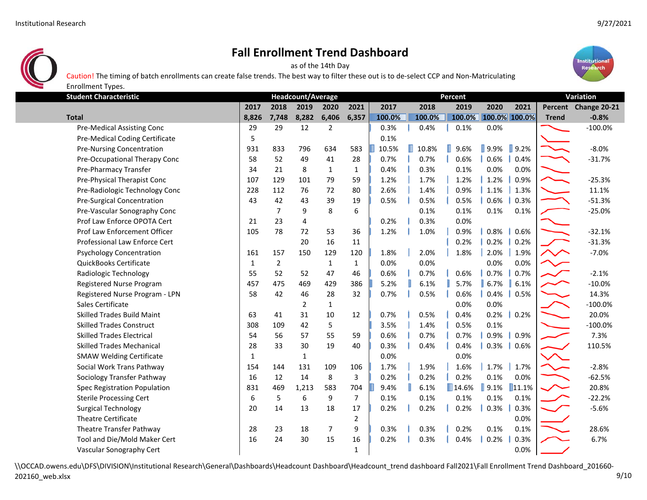Enrollment Types.



## **Fall Enrollment Trend Dashboard**

as of the 14th Day



Caution! The timing of batch enrollments can create false trends. The best way to filter these out is to de‐select CCP and Non‐Matriculating

**Student Characteristic**2017 2018 2019 2020 2021 2017 2018 2019 2020 2021 Percent Change 20-21 8.826 7.748 8.282 6.406 6.357 100.0% 100.0% 100.0% 100.0% 100.0% 100.0% Trend -0.8% بـــــــــــــــــــــــــ **Headcount/Average Percent Variation** Pre‐Medical Assisting Conc 29 29 12 2 0.3% 0.4% 0.1% 0.0% ‐100.0% Pre-Medical Coding Certificate 1 5 0.1% Pre-Nursing Concentration 1931 833 796 634 583 10.5% 10.8% 9.6% 9.9% 9.2% •8.0% Pre‐Occupational Therapy Conc 58 52 49 41 28 0.7% 0.7% 0.6% 0.6% 0.4% ‐31.7% Pre‐Pharmacy Transfer 34 21 8 1 1 0.4% 0.3% 0.1% 0.0% 0.0% Pre-Physical Therapist Conc 107 129 101 79 59 1.2% 1.7% 1.2% 1.2% 1.2% 1.2% 1.2% −25.3% Pre-Radiologic Technology Conc 228 112 76 72 80 || 2.6% | 1.4% | 0.9% | 1.1% | 1.3% | 1.1% 11.1% Pre-Surgical Concentration 1990 120 143 42 43 39 19 || 0.5% || 0.5% || 0.6% || 0.6% || 0.3% || ↑ 1.3% ·-51.3% Pre-Vascular Sonography Conc **1** 7 9 8 6 0.1% 0.1% 0.1% 0.1% **1.1% 1.1% 1.1% 1.1%** -25.0% Prof Law Enforce OPOTA Cert  $\begin{array}{cccccccc} \vert & 21 & 23 & 4 & \vert & 0.2\% \end{array}$  0.3% 0.0% Prof Law Enforcement Officer 105 105 78 72 53 36 1 1.2% 1.0% 1.0% 1 0.8% 1 0.6% ● ● → → → 32.1% Professional Law Enforce Cert 20 16 11 0.2% 0.2% 0.2% 1.3% -31.3% Psychology Concentration 161 161 157 150 129 120 1.8% 2.0% 1.8% 2.0% 1.9% ● ↑ ↑ ↑ QuickBooks Certificate 1 2 1 1 0.0% 0.0% 0.0% 0.0% Radiologic Technology 55 52 52 47 46 **0.6% 0.7% 0.6% 0.7% 0.7% 0.7% •**2.1% Registered Nurse Program **1990 • 1990 127 128 469 129 1286** 5.2% 6.1% **6.1% 6.1% 6.1% • 10.0%** -10.0% Registered Nurse Program ‐ LPN 58 42 46 28 32 0.7% 0.5% 0.6% 0.4% 0.5% 14.3% Sales Certificate 2 1 0.0% 0.0% ‐100.0% Skilled Trades Build Maint 1 10 41 31 10 12 0.7% 0.5% 0.4% 0.2% 0.2% 0.2% 20.0% Skilled Trades Construct 308 109 42 5 3.5% 1.4% 0.5% 0.1% ‐100.0% Skilled Trades Electrical 54 56 57 55 59 0.6% 0.7% 0.7% 0.9% 0.9% 7.3% Skilled Trades Mechanical 28 33 30 19 40 0.3% 0.4% 0.4% 0.3% 0.6% SMAW Welding Certificate  $\begin{array}{ccc} 1 & 1 & 1 & 0.0\% \\ 1 & 1 & 1 & 0.0\% \end{array}$ Social Work Trans Pathway 154 154 144 131 109 106 1.7% 1.9% 1.9% 1.7% 1.7% 1.7% • 2.8% Sociology Transfer Pathway 16 12 14 8 3 0.2% 0.2% 0.2% 0.1% 0.0% ‐62.5% Spec Registration Population **831 469 1,213 583 704 30.4% 6.1% 14.6% 9.1% 11.1% 20.8%** 20.8% Sterile Processing Cert 6 1 6 5 6 9 7 0.1% 0.1% 0.1% 0.1% 0.1% 1.1% -22.2% Surgical Technology 20 14 13 18 17 0.2% 0.2% 0.2% 0.3% 0.3% • 5.6% Theatre Certificate 2 0.0% Theatre Transfer Pathway 28 23 18 7 9 0.3% 0.3% 0.2% 0.1% 0.1% 28.6% Tool and Die/Mold Maker Cert 16 24 30 15 16 0.2% 0.3% 0.4% 0.2% 0.3% 16 16 17% 6.7% Vascular Sonography Cert 1 0.0% and 1 0.0% and 1 0.0% and 1 0.0% and 1 0.0% and 1 0.0% and 1 0.0% and 1 0.0% and 1 0.0% and 1 0.0% and 1 0.0% and 1 0.0% and 1 0.0% and 1 0.0% and 1 0.0% and 1 0.0% and 1 0.0% and 1 0.0% and

\\OCCAD.owens.edu\DFS\DIVISION\Institutional Research\General\Dashboards\Headcount Dashboard\Headcount\_trend dashboard Fall2021\Fall Enrollment Trend Dashboard\_201660-202160\_web.xlsx 9/10